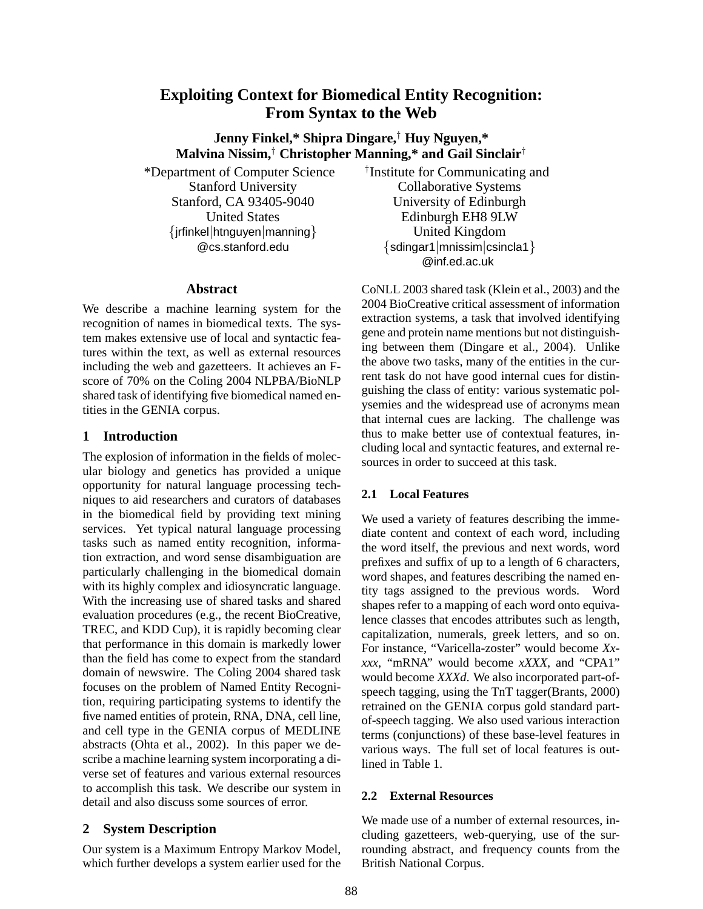# **Exploiting Context for Biomedical Entity Recognition: From Syntax to the Web**

**Jenny Finkel,\* Shipra Dingare,**† **Huy Nguyen,\* Malvina Nissim,**† **Christopher Manning,\* and Gail Sinclair**†

\*Department of Computer Science Stanford University Stanford, CA 93405-9040 United States {jrfinkel|htnguyen|manning} @cs.stanford.edu

#### **Abstract**

We describe a machine learning system for the recognition of names in biomedical texts. The system makes extensive use of local and syntactic features within the text, as well as external resources including the web and gazetteers. It achieves an Fscore of 70% on the Coling 2004 NLPBA/BioNLP shared task of identifying five biomedical named entities in the GENIA corpus.

### **1 Introduction**

The explosion of information in the fields of molecular biology and genetics has provided a unique opportunity for natural language processing techniques to aid researchers and curators of databases in the biomedical field by providing text mining services. Yet typical natural language processing tasks such as named entity recognition, information extraction, and word sense disambiguation are particularly challenging in the biomedical domain with its highly complex and idiosyncratic language. With the increasing use of shared tasks and shared evaluation procedures (e.g., the recent BioCreative, TREC, and KDD Cup), it is rapidly becoming clear that performance in this domain is markedly lower than the field has come to expect from the standard domain of newswire. The Coling 2004 shared task focuses on the problem of Named Entity Recognition, requiring participating systems to identify the five named entities of protein, RNA, DNA, cell line, and cell type in the GENIA corpus of MEDLINE abstracts (Ohta et al., 2002). In this paper we describe a machine learning system incorporating a diverse set of features and various external resources to accomplish this task. We describe our system in detail and also discuss some sources of error.

## **2 System Description**

Our system is a Maximum Entropy Markov Model, which further develops a system earlier used for the † Institute for Communicating and Collaborative Systems University of Edinburgh Edinburgh EH8 9LW United Kingdom {sdingar1|mnissim|csincla1} @inf.ed.ac.uk

CoNLL 2003 shared task (Klein et al., 2003) and the 2004 BioCreative critical assessment of information extraction systems, a task that involved identifying gene and protein name mentions but not distinguishing between them (Dingare et al., 2004). Unlike the above two tasks, many of the entities in the current task do not have good internal cues for distinguishing the class of entity: various systematic polysemies and the widespread use of acronyms mean that internal cues are lacking. The challenge was thus to make better use of contextual features, including local and syntactic features, and external resources in order to succeed at this task.

## **2.1 Local Features**

We used a variety of features describing the immediate content and context of each word, including the word itself, the previous and next words, word prefixes and suffix of up to a length of 6 characters, word shapes, and features describing the named entity tags assigned to the previous words. Word shapes refer to a mapping of each word onto equivalence classes that encodes attributes such as length, capitalization, numerals, greek letters, and so on. For instance, "Varicella-zoster" would become *Xxxxx*, "mRNA" would become *xXXX*, and "CPA1" would become *XXXd*. We also incorporated part-ofspeech tagging, using the TnT tagger(Brants, 2000) retrained on the GENIA corpus gold standard partof-speech tagging. We also used various interaction terms (conjunctions) of these base-level features in various ways. The full set of local features is outlined in Table 1.

### **2.2 External Resources**

We made use of a number of external resources, including gazetteers, web-querying, use of the surrounding abstract, and frequency counts from the British National Corpus.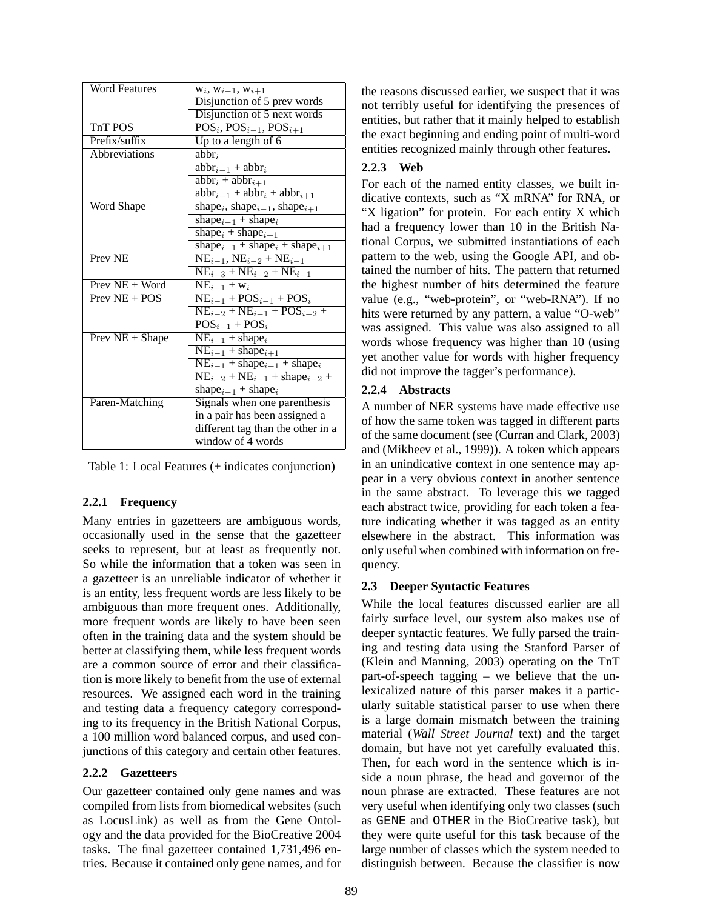| Word Features        | $W_i, W_{i-1}, W_{i+1}$                                                    |
|----------------------|----------------------------------------------------------------------------|
|                      | Disjunction of 5 prev words                                                |
|                      | Disjunction of 5 next words                                                |
| TnT POS              | $\overline{\text{POS}_{i}, \text{POS}_{i-1}}, \text{POS}_{i+1}$            |
| Prefix/suffix        | Up to a length of $6$                                                      |
| <b>Abbreviations</b> | $abbr_i$                                                                   |
|                      | $\overline{abbr_{i-1} + abbr_i}$                                           |
|                      | $\overline{abbr_i + abbr_{i+1}}$                                           |
|                      | $abbr_{i-1} + abbr_i + abbr_{i+1}$                                         |
| Word Shape           | shape <sub>i</sub> , shape <sub>i-1</sub> , shape <sub>i+1</sub>           |
|                      | shape <sub>i-1</sub> + shape <sub>i</sub>                                  |
|                      | shape <sub>i</sub> + shape <sub>i+1</sub>                                  |
|                      | shape <sub>i-1</sub> + shape <sub>i</sub> + shape <sub>i+1</sub>           |
| Prev <sub>NE</sub>   | $\overline{\text{NE}_{i-1}}$ , $\text{NE}_{i-2}$ + $\text{NE}_{i-1}$       |
|                      | $NE_{i-3} + NE_{i-2} + NE_{i-1}$                                           |
| Prev NE + Word       | $NE_{i-1} + w_i$                                                           |
| $Prev NE + POS$      | $NE_{i-1} + POS_{i-1} + POS_i$                                             |
|                      | $NE_{i-2} + NE_{i-1} + POS_{i-2} +$                                        |
|                      | $POS_{i-1}$ + $POS_{i}$                                                    |
| Prev $NE + Shape$    | $NE_{i-1} + shape_i$                                                       |
|                      | $NE_{i-1}$ + shape <sub>i+1</sub>                                          |
|                      | $\overline{\text{NE}_{i-1}}$ + shape <sub>i</sub> – 1 + shape <sub>i</sub> |
|                      | $NE_{i-2} + NE_{i-1} + shape_{i-2} +$                                      |
|                      | shape $_{i-1}$ + shape <sub>i</sub>                                        |
| Paren-Matching       | Signals when one parenthesis                                               |
|                      | in a pair has been assigned a                                              |
|                      | different tag than the other in a                                          |
|                      | window of 4 words                                                          |

Table 1: Local Features (+ indicates conjunction)

## **2.2.1 Frequency**

Many entries in gazetteers are ambiguous words, occasionally used in the sense that the gazetteer seeks to represent, but at least as frequently not. So while the information that a token was seen in a gazetteer is an unreliable indicator of whether it is an entity, less frequent words are less likely to be ambiguous than more frequent ones. Additionally, more frequent words are likely to have been seen often in the training data and the system should be better at classifying them, while less frequent words are a common source of error and their classification is more likely to benefit from the use of external resources. We assigned each word in the training and testing data a frequency category corresponding to its frequency in the British National Corpus, a 100 million word balanced corpus, and used conjunctions of this category and certain other features.

## **2.2.2 Gazetteers**

Our gazetteer contained only gene names and was compiled from lists from biomedical websites (such as LocusLink) as well as from the Gene Ontology and the data provided for the BioCreative 2004 tasks. The final gazetteer contained 1,731,496 entries. Because it contained only gene names, and for the reasons discussed earlier, we suspect that it was not terribly useful for identifying the presences of entities, but rather that it mainly helped to establish the exact beginning and ending point of multi-word entities recognized mainly through other features.

## **2.2.3 Web**

For each of the named entity classes, we built indicative contexts, such as "X mRNA" for RNA, or "X ligation" for protein. For each entity X which had a frequency lower than 10 in the British National Corpus, we submitted instantiations of each pattern to the web, using the Google API, and obtained the number of hits. The pattern that returned the highest number of hits determined the feature value (e.g., "web-protein", or "web-RNA"). If no hits were returned by any pattern, a value "O-web" was assigned. This value was also assigned to all words whose frequency was higher than 10 (using yet another value for words with higher frequency did not improve the tagger's performance).

## **2.2.4 Abstracts**

A number of NER systems have made effective use of how the same token was tagged in different parts of the same document (see (Curran and Clark, 2003) and (Mikheev et al., 1999)). A token which appears in an unindicative context in one sentence may appear in a very obvious context in another sentence in the same abstract. To leverage this we tagged each abstract twice, providing for each token a feature indicating whether it was tagged as an entity elsewhere in the abstract. This information was only useful when combined with information on frequency.

## **2.3 Deeper Syntactic Features**

While the local features discussed earlier are all fairly surface level, our system also makes use of deeper syntactic features. We fully parsed the training and testing data using the Stanford Parser of (Klein and Manning, 2003) operating on the TnT part-of-speech tagging – we believe that the unlexicalized nature of this parser makes it a particularly suitable statistical parser to use when there is a large domain mismatch between the training material (*Wall Street Journal* text) and the target domain, but have not yet carefully evaluated this. Then, for each word in the sentence which is inside a noun phrase, the head and governor of the noun phrase are extracted. These features are not very useful when identifying only two classes (such as GENE and OTHER in the BioCreative task), but they were quite useful for this task because of the large number of classes which the system needed to distinguish between. Because the classifier is now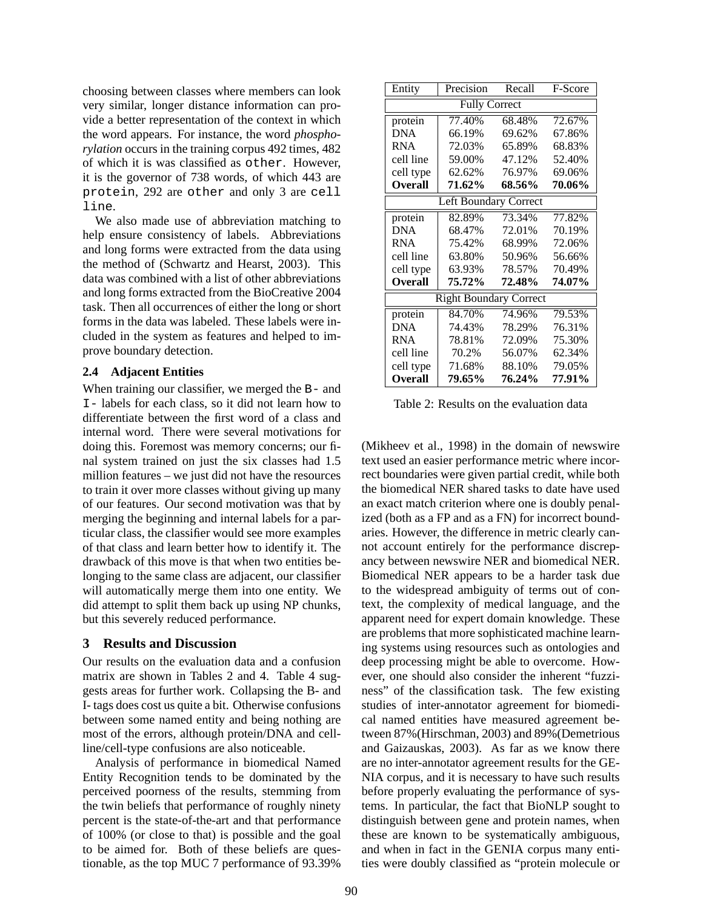choosing between classes where members can look very similar, longer distance information can provide a better representation of the context in which the word appears. For instance, the word *phosphorylation* occurs in the training corpus 492 times, 482 of which it is was classified as other. However, it is the governor of 738 words, of which 443 are protein, 292 are other and only 3 are cell line.

We also made use of abbreviation matching to help ensure consistency of labels. Abbreviations and long forms were extracted from the data using the method of (Schwartz and Hearst, 2003). This data was combined with a list of other abbreviations and long forms extracted from the BioCreative 2004 task. Then all occurrences of either the long or short forms in the data was labeled. These labels were included in the system as features and helped to improve boundary detection.

#### **2.4 Adjacent Entities**

When training our classifier, we merged the B- and I- labels for each class, so it did not learn how to differentiate between the first word of a class and internal word. There were several motivations for doing this. Foremost was memory concerns; our final system trained on just the six classes had 1.5 million features – we just did not have the resources to train it over more classes without giving up many of our features. Our second motivation was that by merging the beginning and internal labels for a particular class, the classifier would see more examples of that class and learn better how to identify it. The drawback of this move is that when two entities belonging to the same class are adjacent, our classifier will automatically merge them into one entity. We did attempt to split them back up using NP chunks, but this severely reduced performance.

### **3 Results and Discussion**

Our results on the evaluation data and a confusion matrix are shown in Tables 2 and 4. Table 4 suggests areas for further work. Collapsing the B- and I- tags does cost us quite a bit. Otherwise confusions between some named entity and being nothing are most of the errors, although protein/DNA and cellline/cell-type confusions are also noticeable.

Analysis of performance in biomedical Named Entity Recognition tends to be dominated by the perceived poorness of the results, stemming from the twin beliefs that performance of roughly ninety percent is the state-of-the-art and that performance of 100% (or close to that) is possible and the goal to be aimed for. Both of these beliefs are questionable, as the top MUC 7 performance of 93.39%

| Entity                        | Precision | Recall | F-Score |  |  |  |
|-------------------------------|-----------|--------|---------|--|--|--|
| <b>Fully Correct</b>          |           |        |         |  |  |  |
| protein                       | 77.40%    | 68.48% | 72.67%  |  |  |  |
| <b>DNA</b>                    | 66.19%    | 69.62% | 67.86%  |  |  |  |
| <b>RNA</b>                    | 72.03%    | 65.89% | 68.83%  |  |  |  |
| cell line                     | 59.00%    | 47.12% | 52.40%  |  |  |  |
| cell type                     | 62.62%    | 76.97% | 69.06%  |  |  |  |
| <b>Overall</b>                | 71.62%    | 68.56% | 70.06%  |  |  |  |
| Left Boundary Correct         |           |        |         |  |  |  |
| protein                       | 82.89%    | 73.34% | 77.82%  |  |  |  |
| <b>DNA</b>                    | 68.47%    | 72.01% | 70.19%  |  |  |  |
| <b>RNA</b>                    | 75.42%    | 68.99% | 72.06%  |  |  |  |
| cell line                     | 63.80%    | 50.96% | 56.66%  |  |  |  |
| cell type                     | 63.93%    | 78.57% | 70.49%  |  |  |  |
| <b>Overall</b>                | 75.72%    | 72.48% | 74.07%  |  |  |  |
| <b>Right Boundary Correct</b> |           |        |         |  |  |  |
| protein                       | 84.70%    | 74.96% | 79.53%  |  |  |  |
| <b>DNA</b>                    | 74.43%    | 78.29% | 76.31%  |  |  |  |
| <b>RNA</b>                    | 78.81%    | 72.09% | 75.30%  |  |  |  |
| cell line                     | 70.2%     | 56.07% | 62.34%  |  |  |  |
| cell type                     | 71.68%    | 88.10% | 79.05%  |  |  |  |
| <b>Overall</b>                | 79.65%    | 76.24% | 77.91%  |  |  |  |

Table 2: Results on the evaluation data

(Mikheev et al., 1998) in the domain of newswire text used an easier performance metric where incorrect boundaries were given partial credit, while both the biomedical NER shared tasks to date have used an exact match criterion where one is doubly penalized (both as a FP and as a FN) for incorrect boundaries. However, the difference in metric clearly cannot account entirely for the performance discrepancy between newswire NER and biomedical NER. Biomedical NER appears to be a harder task due to the widespread ambiguity of terms out of context, the complexity of medical language, and the apparent need for expert domain knowledge. These are problems that more sophisticated machine learning systems using resources such as ontologies and deep processing might be able to overcome. However, one should also consider the inherent "fuzziness" of the classification task. The few existing studies of inter-annotator agreement for biomedical named entities have measured agreement between 87%(Hirschman, 2003) and 89%(Demetrious and Gaizauskas, 2003). As far as we know there are no inter-annotator agreement results for the GE-NIA corpus, and it is necessary to have such results before properly evaluating the performance of systems. In particular, the fact that BioNLP sought to distinguish between gene and protein names, when these are known to be systematically ambiguous, and when in fact in the GENIA corpus many entities were doubly classified as "protein molecule or